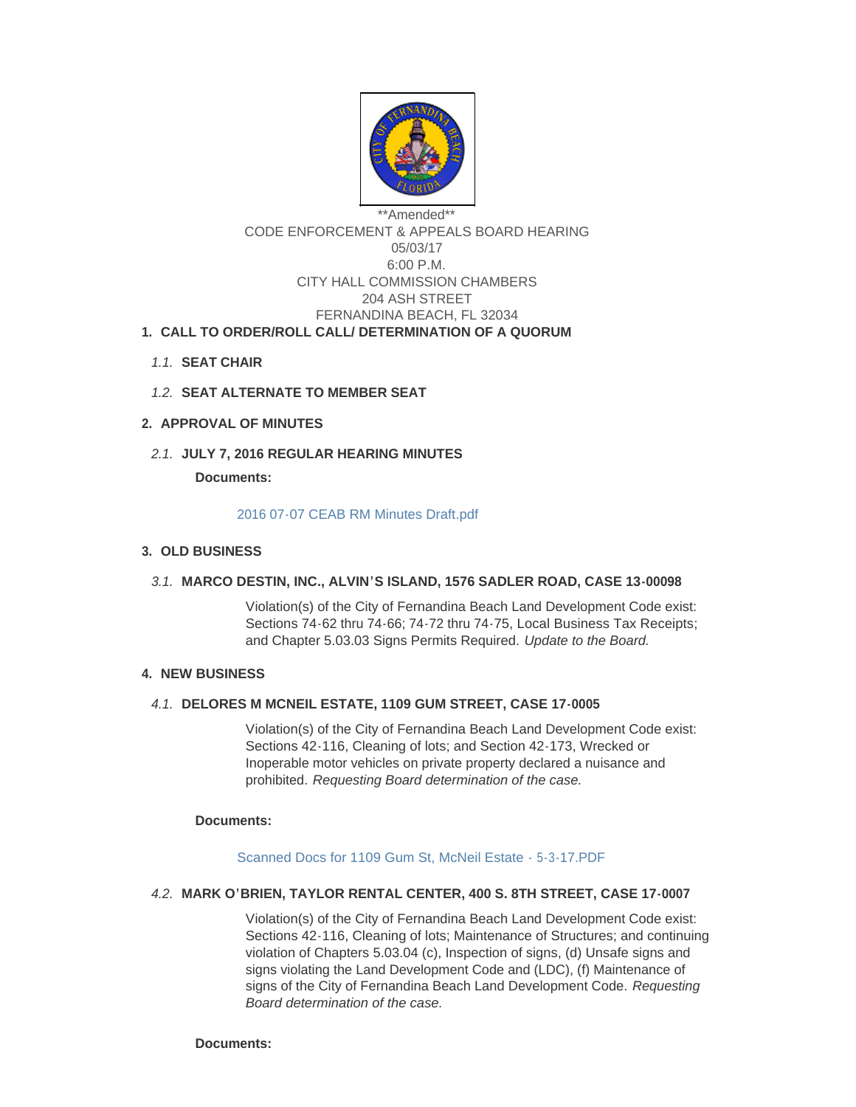

# \*\*Amended\*\* CODE ENFORCEMENT & APPEALS BOARD HEARING 05/03/17 6:00 P.M. CITY HALL COMMISSION CHAMBERS 204 ASH STREET FERNANDINA BEACH, FL 32034 **CALL TO ORDER/ROLL CALL/ DETERMINATION OF A QUORUM 1.**

- **SEAT CHAIR** *1.1.*
- 1.2. **SEAT ALTERNATE TO MEMBER SEAT**

# **APPROVAL OF MINUTES 2.**

**JULY 7, 2016 REGULAR HEARING MINUTES** *2.1.*

**Documents:**

#### [2016 07-07 CEAB RM Minutes Draft.pdf](http://www.fbfl.us/AgendaCenter/ViewFile/Item/6678?fileID=3677)

# **OLD BUSINESS 3.**

# **MARCO DESTIN, INC., ALVIN'S ISLAND, 1576 SADLER ROAD, CASE 13-00098** *3.1.*

Violation(s) of the City of Fernandina Beach Land Development Code exist: Sections 74-62 thru 74-66; 74-72 thru 74-75, Local Business Tax Receipts; and Chapter 5.03.03 Signs Permits Required. *Update to the Board.* 

# **NEW BUSINESS 4.**

# **DELORES M MCNEIL ESTATE, 1109 GUM STREET, CASE 17-0005** *4.1.*

Violation(s) of the City of Fernandina Beach Land Development Code exist: Sections 42-116, Cleaning of lots; and Section 42-173, Wrecked or Inoperable motor vehicles on private property declared a nuisance and prohibited. *Requesting Board determination of the case.*

#### **Documents:**

# [Scanned Docs for 1109 Gum St, McNeil Estate -](http://www.fbfl.us/AgendaCenter/ViewFile/Item/7776?fileID=5085) 5-3-17.PDF

### **MARK O'BRIEN, TAYLOR RENTAL CENTER, 400 S. 8TH STREET, CASE 17-0007** *4.2.*

Violation(s) of the City of Fernandina Beach Land Development Code exist: Sections 42-116, Cleaning of lots; Maintenance of Structures; and continuing violation of Chapters 5.03.04 (c), Inspection of signs, (d) Unsafe signs and signs violating the Land Development Code and (LDC), (f) Maintenance of signs of the City of Fernandina Beach Land Development Code. *Requesting Board determination of the case.*

#### **Documents:**